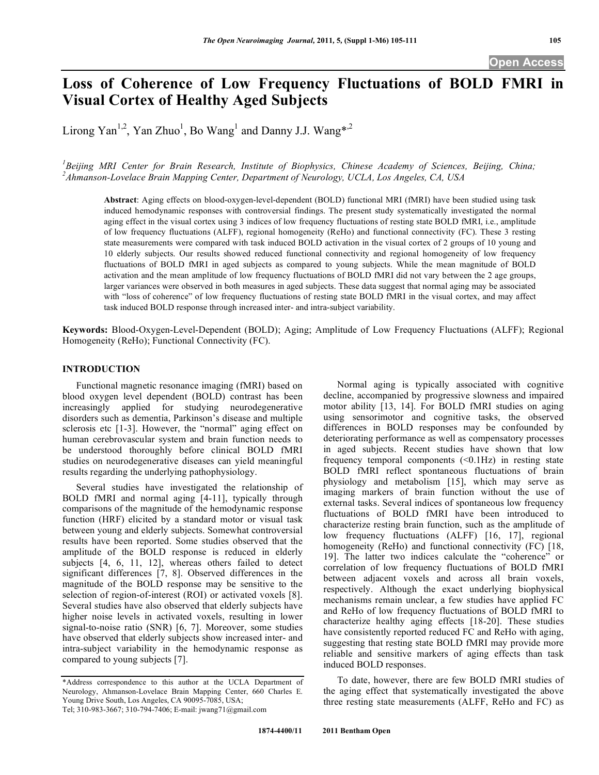# **Loss of Coherence of Low Frequency Fluctuations of BOLD FMRI in Visual Cortex of Healthy Aged Subjects**

Lirong Yan<sup>1,2</sup>, Yan Zhuo<sup>1</sup>, Bo Wang<sup>1</sup> and Danny J.J. Wang\*<sup>2</sup>

<sup>1</sup> Beijing MRI Center for Brain Research, Institute of Biophysics, Chinese Academy of Sciences, Beijing, China; *2 Ahmanson-Lovelace Brain Mapping Center, Department of Neurology, UCLA, Los Angeles, CA, USA* 

**Abstract**: Aging effects on blood-oxygen-level-dependent (BOLD) functional MRI (fMRI) have been studied using task induced hemodynamic responses with controversial findings. The present study systematically investigated the normal aging effect in the visual cortex using 3 indices of low frequency fluctuations of resting state BOLD fMRI, i.e., amplitude of low frequency fluctuations (ALFF), regional homogeneity (ReHo) and functional connectivity (FC). These 3 resting state measurements were compared with task induced BOLD activation in the visual cortex of 2 groups of 10 young and 10 elderly subjects. Our results showed reduced functional connectivity and regional homogeneity of low frequency fluctuations of BOLD fMRI in aged subjects as compared to young subjects. While the mean magnitude of BOLD activation and the mean amplitude of low frequency fluctuations of BOLD fMRI did not vary between the 2 age groups, larger variances were observed in both measures in aged subjects. These data suggest that normal aging may be associated with "loss of coherence" of low frequency fluctuations of resting state BOLD fMRI in the visual cortex, and may affect task induced BOLD response through increased inter- and intra-subject variability.

**Keywords:** Blood-Oxygen-Level-Dependent (BOLD); Aging; Amplitude of Low Frequency Fluctuations (ALFF); Regional Homogeneity (ReHo); Functional Connectivity (FC).

## **INTRODUCTION**

 Functional magnetic resonance imaging (fMRI) based on blood oxygen level dependent (BOLD) contrast has been increasingly applied for studying neurodegenerative disorders such as dementia, Parkinson's disease and multiple sclerosis etc [1-3]. However, the "normal" aging effect on human cerebrovascular system and brain function needs to be understood thoroughly before clinical BOLD fMRI studies on neurodegenerative diseases can yield meaningful results regarding the underlying pathophysiology.

 Several studies have investigated the relationship of BOLD fMRI and normal aging [4-11], typically through comparisons of the magnitude of the hemodynamic response function (HRF) elicited by a standard motor or visual task between young and elderly subjects. Somewhat controversial results have been reported. Some studies observed that the amplitude of the BOLD response is reduced in elderly subjects [4, 6, 11, 12], whereas others failed to detect significant differences [7, 8]. Observed differences in the magnitude of the BOLD response may be sensitive to the selection of region-of-interest (ROI) or activated voxels [8]. Several studies have also observed that elderly subjects have higher noise levels in activated voxels, resulting in lower signal-to-noise ratio (SNR) [6, 7]. Moreover, some studies have observed that elderly subjects show increased inter- and intra-subject variability in the hemodynamic response as compared to young subjects [7].

 Normal aging is typically associated with cognitive decline, accompanied by progressive slowness and impaired motor ability [13, 14]. For BOLD fMRI studies on aging using sensorimotor and cognitive tasks, the observed differences in BOLD responses may be confounded by deteriorating performance as well as compensatory processes in aged subjects. Recent studies have shown that low frequency temporal components  $( $0.1\text{Hz}$ )$  in resting state BOLD fMRI reflect spontaneous fluctuations of brain physiology and metabolism [15], which may serve as imaging markers of brain function without the use of external tasks. Several indices of spontaneous low frequency fluctuations of BOLD fMRI have been introduced to characterize resting brain function, such as the amplitude of low frequency fluctuations (ALFF) [16, 17], regional homogeneity (ReHo) and functional connectivity (FC) [18, 19]. The latter two indices calculate the "coherence" or correlation of low frequency fluctuations of BOLD fMRI between adjacent voxels and across all brain voxels, respectively. Although the exact underlying biophysical mechanisms remain unclear, a few studies have applied FC and ReHo of low frequency fluctuations of BOLD fMRI to characterize healthy aging effects [18-20]. These studies have consistently reported reduced FC and ReHo with aging, suggesting that resting state BOLD fMRI may provide more reliable and sensitive markers of aging effects than task induced BOLD responses.

 To date, however, there are few BOLD fMRI studies of the aging effect that systematically investigated the above three resting state measurements (ALFF, ReHo and FC) as

<sup>\*</sup>Address correspondence to this author at the UCLA Department of Neurology, Ahmanson-Lovelace Brain Mapping Center, 660 Charles E. Young Drive South, Los Angeles, CA 90095-7085, USA; Tel; 310-983-3667; 310-794-7406; E-mail: jwang71@gmail.com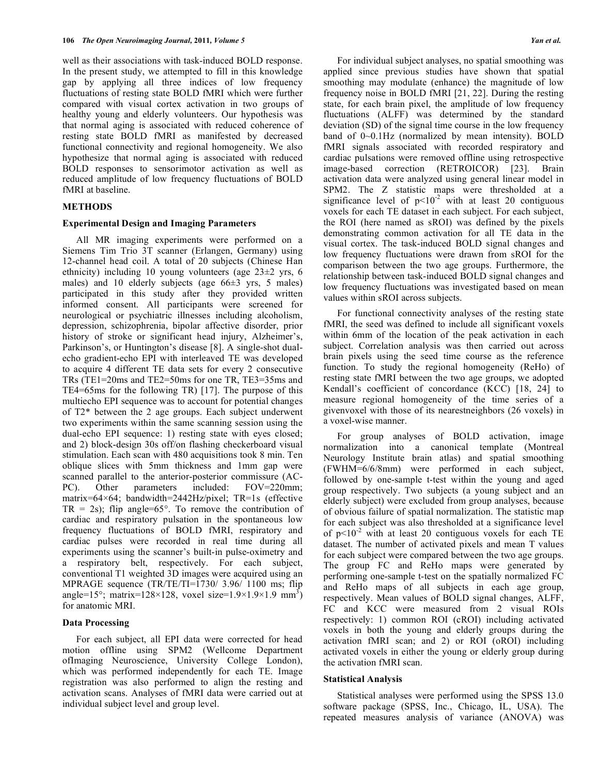well as their associations with task-induced BOLD response. In the present study, we attempted to fill in this knowledge gap by applying all three indices of low frequency fluctuations of resting state BOLD fMRI which were further compared with visual cortex activation in two groups of healthy young and elderly volunteers. Our hypothesis was that normal aging is associated with reduced coherence of resting state BOLD fMRI as manifested by decreased functional connectivity and regional homogeneity. We also hypothesize that normal aging is associated with reduced BOLD responses to sensorimotor activation as well as reduced amplitude of low frequency fluctuations of BOLD fMRI at baseline.

## **METHODS**

## **Experimental Design and Imaging Parameters**

 All MR imaging experiments were performed on a Siemens Tim Trio 3T scanner (Erlangen, Germany) using 12-channel head coil. A total of 20 subjects (Chinese Han ethnicity) including 10 young volunteers (age 23±2 yrs, 6 males) and 10 elderly subjects (age 66±3 yrs, 5 males) participated in this study after they provided written informed consent. All participants were screened for neurological or psychiatric illnesses including alcoholism, depression, schizophrenia, bipolar affective disorder, prior history of stroke or significant head injury, Alzheimer's, Parkinson's, or Huntington's disease [8]. A single-shot dualecho gradient-echo EPI with interleaved TE was developed to acquire 4 different TE data sets for every 2 consecutive TRs (TE1=20ms and TE2=50ms for one TR, TE3=35ms and TE4=65ms for the following TR) [17]. The purpose of this multiecho EPI sequence was to account for potential changes of T2\* between the 2 age groups. Each subject underwent two experiments within the same scanning session using the dual-echo EPI sequence: 1) resting state with eyes closed; and 2) block-design 30s off/on flashing checkerboard visual stimulation. Each scan with 480 acquisitions took 8 min. Ten oblique slices with 5mm thickness and 1mm gap were scanned parallel to the anterior-posterior commissure (AC-PC). Other parameters included: FOV=220mm; matrix= $64\times64$ ; bandwidth= $2442\text{Hz/pixel}$ ; TR=1s (effective  $TR = 2s$ ; flip angle=65°. To remove the contribution of cardiac and respiratory pulsation in the spontaneous low frequency fluctuations of BOLD fMRI, respiratory and cardiac pulses were recorded in real time during all experiments using the scanner's built-in pulse-oximetry and a respiratory belt, respectively. For each subject, conventional T1 weighted 3D images were acquired using an MPRAGE sequence (TR/TE/TI=1730/ 3.96/ 1100 ms; flip angle=15°; matrix=128×128, voxel size=1.9×1.9×1.9 mm<sup>3</sup>) for anatomic MRI.

## **Data Processing**

 For each subject, all EPI data were corrected for head motion offline using SPM2 (Wellcome Department ofImaging Neuroscience, University College London), which was performed independently for each TE. Image registration was also performed to align the resting and activation scans. Analyses of fMRI data were carried out at individual subject level and group level.

 For individual subject analyses, no spatial smoothing was applied since previous studies have shown that spatial smoothing may modulate (enhance) the magnitude of low frequency noise in BOLD fMRI [21, 22]. During the resting state, for each brain pixel, the amplitude of low frequency fluctuations (ALFF) was determined by the standard deviation (SD) of the signal time course in the low frequency band of 0~0.1Hz (normalized by mean intensity). BOLD fMRI signals associated with recorded respiratory and cardiac pulsations were removed offline using retrospective image-based correction (RETROICOR) [23]. Brain activation data were analyzed using general linear model in SPM2. The Z statistic maps were thresholded at a significance level of  $p<10^{-2}$  with at least 20 contiguous voxels for each TE dataset in each subject. For each subject, the ROI (here named as sROI) was defined by the pixels demonstrating common activation for all TE data in the visual cortex. The task-induced BOLD signal changes and low frequency fluctuations were drawn from sROI for the comparison between the two age groups. Furthermore, the relationship between task-induced BOLD signal changes and low frequency fluctuations was investigated based on mean values within sROI across subjects.

 For functional connectivity analyses of the resting state fMRI, the seed was defined to include all significant voxels within 6mm of the location of the peak activation in each subject. Correlation analysis was then carried out across brain pixels using the seed time course as the reference function. To study the regional homogeneity (ReHo) of resting state fMRI between the two age groups, we adopted Kendall's coefficient of concordance (KCC) [18, 24] to measure regional homogeneity of the time series of a givenvoxel with those of its nearestneighbors (26 voxels) in a voxel-wise manner.

 For group analyses of BOLD activation, image normalization into a canonical template (Montreal Neurology Institute brain atlas) and spatial smoothing (FWHM=6/6/8mm) were performed in each subject, followed by one-sample t-test within the young and aged group respectively. Two subjects (a young subject and an elderly subject) were excluded from group analyses, because of obvious failure of spatial normalization. The statistic map for each subject was also thresholded at a significance level of  $p<10^{-2}$  with at least 20 contiguous voxels for each TE dataset. The number of activated pixels and mean T values for each subject were compared between the two age groups. The group FC and ReHo maps were generated by performing one-sample t-test on the spatially normalized FC and ReHo maps of all subjects in each age group, respectively. Mean values of BOLD signal changes, ALFF, FC and KCC were measured from 2 visual ROIs respectively: 1) common ROI (cROI) including activated voxels in both the young and elderly groups during the activation fMRI scan; and 2) or ROI (oROI) including activated voxels in either the young or elderly group during the activation fMRI scan.

#### **Statistical Analysis**

 Statistical analyses were performed using the SPSS 13.0 software package (SPSS, Inc., Chicago, IL, USA). The repeated measures analysis of variance (ANOVA) was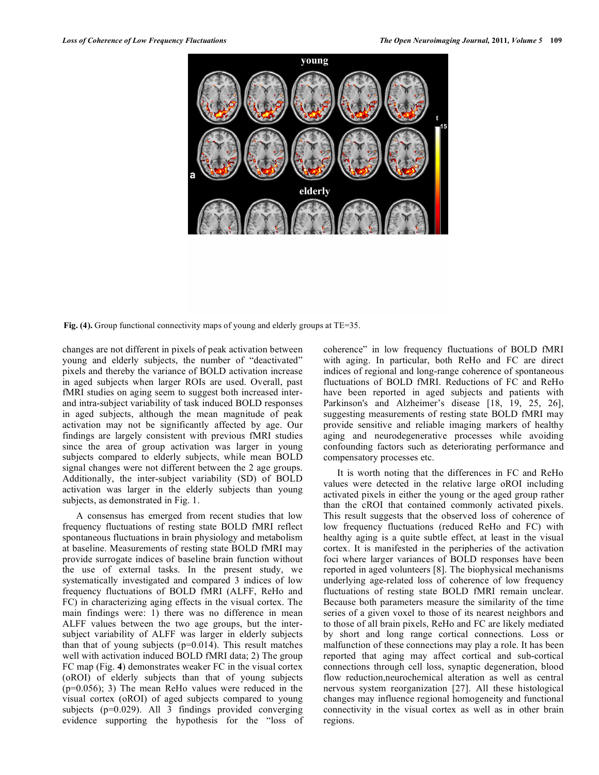**Fig. (4).** Group functional connectivity maps of young and elderly groups at TE=35.

changes are not different in pixels of peak activation between young and elderly subjects, the number of "deactivated" pixels and thereby the variance of BOLD activation increase in aged subjects when larger ROIs are used. Overall, past fMRI studies on aging seem to suggest both increased interand intra-subject variability of task induced BOLD responses in aged subjects, although the mean magnitude of peak activation may not be significantly affected by age. Our findings are largely consistent with previous fMRI studies since the area of group activation was larger in young subjects compared to elderly subjects, while mean BOLD signal changes were not different between the 2 age groups. Additionally, the inter-subject variability (SD) of BOLD activation was larger in the elderly subjects than young subjects, as demonstrated in Fig. 1.

 A consensus has emerged from recent studies that low frequency fluctuations of resting state BOLD fMRI reflect spontaneous fluctuations in brain physiology and metabolism at baseline. Measurements of resting state BOLD fMRI may provide surrogate indices of baseline brain function without the use of external tasks. In the present study, we systematically investigated and compared 3 indices of low frequency fluctuations of BOLD fMRI (ALFF, ReHo and FC) in characterizing aging effects in the visual cortex. The main findings were: 1) there was no difference in mean ALFF values between the two age groups, but the intersubject variability of ALFF was larger in elderly subjects than that of young subjects  $(p=0.014)$ . This result matches well with activation induced BOLD fMRI data; 2) The group FC map (Fig. **4**) demonstrates weaker FC in the visual cortex (oROI) of elderly subjects than that of young subjects (p=0.056); 3) The mean ReHo values were reduced in the visual cortex (oROI) of aged subjects compared to young subjects (p=0.029). All 3 findings provided converging evidence supporting the hypothesis for the "loss of coherence" in low frequency fluctuations of BOLD fMRI with aging. In particular, both ReHo and FC are direct indices of regional and long-range coherence of spontaneous fluctuations of BOLD fMRI. Reductions of FC and ReHo have been reported in aged subjects and patients with Parkinson's and Alzheimer's disease [18, 19, 25, 26], suggesting measurements of resting state BOLD fMRI may provide sensitive and reliable imaging markers of healthy aging and neurodegenerative processes while avoiding confounding factors such as deteriorating performance and compensatory processes etc.

 It is worth noting that the differences in FC and ReHo values were detected in the relative large oROI including activated pixels in either the young or the aged group rather than the cROI that contained commonly activated pixels. This result suggests that the observed loss of coherence of low frequency fluctuations (reduced ReHo and FC) with healthy aging is a quite subtle effect, at least in the visual cortex. It is manifested in the peripheries of the activation foci where larger variances of BOLD responses have been reported in aged volunteers [8]. The biophysical mechanisms underlying age-related loss of coherence of low frequency fluctuations of resting state BOLD fMRI remain unclear. Because both parameters measure the similarity of the time series of a given voxel to those of its nearest neighbors and to those of all brain pixels, ReHo and FC are likely mediated by short and long range cortical connections. Loss or malfunction of these connections may play a role. It has been reported that aging may affect cortical and sub-cortical connections through cell loss, synaptic degeneration, blood flow reduction,neurochemical alteration as well as central nervous system reorganization [27]. All these histological changes may influence regional homogeneity and functional connectivity in the visual cortex as well as in other brain regions.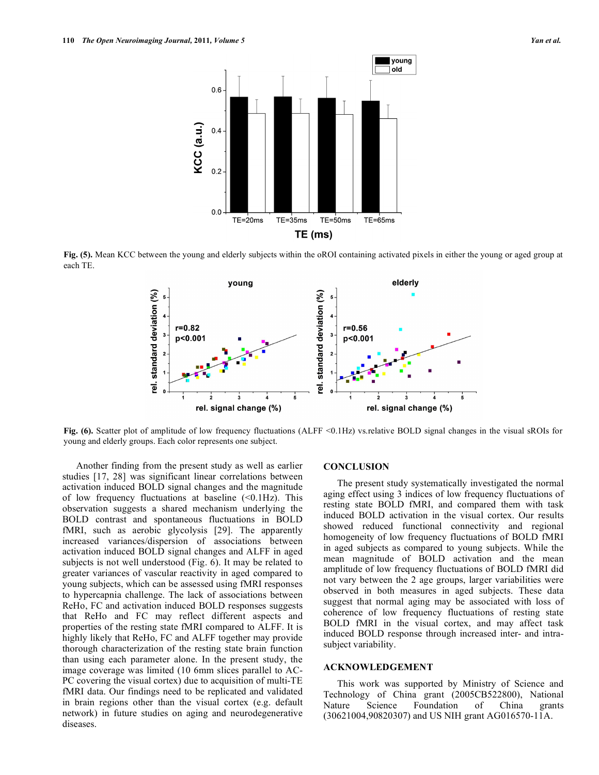

**Fig. (5).** Mean KCC between the young and elderly subjects within the oROI containing activated pixels in either the young or aged group at each TE.



Fig. (6). Scatter plot of amplitude of low frequency fluctuations (ALFF <0.1Hz) vs.relative BOLD signal changes in the visual sROIs for young and elderly groups. Each color represents one subject.

 Another finding from the present study as well as earlier studies [17, 28] was significant linear correlations between activation induced BOLD signal changes and the magnitude of low frequency fluctuations at baseline  $( $0.1\text{Hz}$ ). This$ observation suggests a shared mechanism underlying the BOLD contrast and spontaneous fluctuations in BOLD fMRI, such as aerobic glycolysis [29]. The apparently increased variances/dispersion of associations between activation induced BOLD signal changes and ALFF in aged subjects is not well understood (Fig. 6). It may be related to greater variances of vascular reactivity in aged compared to young subjects, which can be assessed using fMRI responses to hypercapnia challenge. The lack of associations between ReHo, FC and activation induced BOLD responses suggests that ReHo and FC may reflect different aspects and properties of the resting state fMRI compared to ALFF. It is highly likely that ReHo, FC and ALFF together may provide thorough characterization of the resting state brain function than using each parameter alone. In the present study, the image coverage was limited (10 6mm slices parallel to AC-PC covering the visual cortex) due to acquisition of multi-TE fMRI data. Our findings need to be replicated and validated in brain regions other than the visual cortex (e.g. default network) in future studies on aging and neurodegenerative diseases.

#### **CONCLUSION**

 The present study systematically investigated the normal aging effect using 3 indices of low frequency fluctuations of resting state BOLD fMRI, and compared them with task induced BOLD activation in the visual cortex. Our results showed reduced functional connectivity and regional homogeneity of low frequency fluctuations of BOLD fMRI in aged subjects as compared to young subjects. While the mean magnitude of BOLD activation and the mean amplitude of low frequency fluctuations of BOLD fMRI did not vary between the 2 age groups, larger variabilities were observed in both measures in aged subjects. These data suggest that normal aging may be associated with loss of coherence of low frequency fluctuations of resting state BOLD fMRI in the visual cortex, and may affect task induced BOLD response through increased inter- and intrasubject variability.

#### **ACKNOWLEDGEMENT**

 This work was supported by Ministry of Science and Technology of China grant (2005CB522800), National Nature Science Foundation of China grants (30621004,90820307) and US NIH grant AG016570-11A.